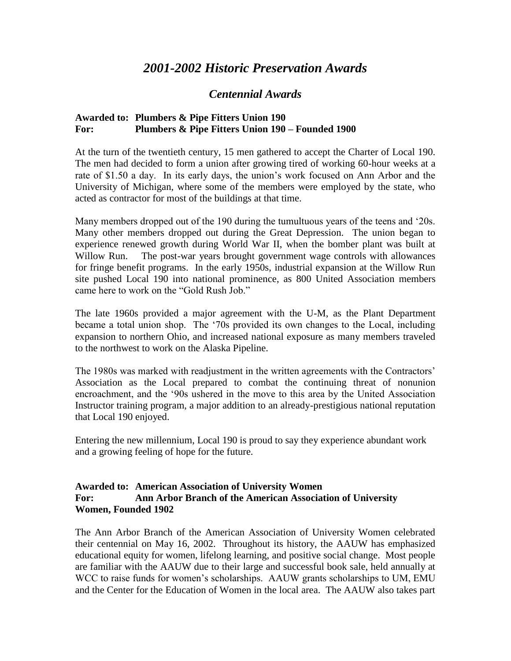# *2001-2002 Historic Preservation Awards*

## *Centennial Awards*

### **Awarded to: Plumbers & Pipe Fitters Union 190 For: Plumbers & Pipe Fitters Union 190 – Founded 1900**

At the turn of the twentieth century, 15 men gathered to accept the Charter of Local 190. The men had decided to form a union after growing tired of working 60-hour weeks at a rate of \$1.50 a day. In its early days, the union's work focused on Ann Arbor and the University of Michigan, where some of the members were employed by the state, who acted as contractor for most of the buildings at that time.

Many members dropped out of the 190 during the tumultuous years of the teens and '20s. Many other members dropped out during the Great Depression. The union began to experience renewed growth during World War II, when the bomber plant was built at Willow Run. The post-war years brought government wage controls with allowances for fringe benefit programs. In the early 1950s, industrial expansion at the Willow Run site pushed Local 190 into national prominence, as 800 United Association members came here to work on the "Gold Rush Job."

The late 1960s provided a major agreement with the U-M, as the Plant Department became a total union shop. The '70s provided its own changes to the Local, including expansion to northern Ohio, and increased national exposure as many members traveled to the northwest to work on the Alaska Pipeline.

The 1980s was marked with readjustment in the written agreements with the Contractors' Association as the Local prepared to combat the continuing threat of nonunion encroachment, and the '90s ushered in the move to this area by the United Association Instructor training program, a major addition to an already-prestigious national reputation that Local 190 enjoyed.

Entering the new millennium, Local 190 is proud to say they experience abundant work and a growing feeling of hope for the future.

#### **Awarded to: American Association of University Women For: Ann Arbor Branch of the American Association of University Women, Founded 1902**

The Ann Arbor Branch of the American Association of University Women celebrated their centennial on May 16, 2002. Throughout its history, the AAUW has emphasized educational equity for women, lifelong learning, and positive social change. Most people are familiar with the AAUW due to their large and successful book sale, held annually at WCC to raise funds for women's scholarships. AAUW grants scholarships to UM, EMU and the Center for the Education of Women in the local area. The AAUW also takes part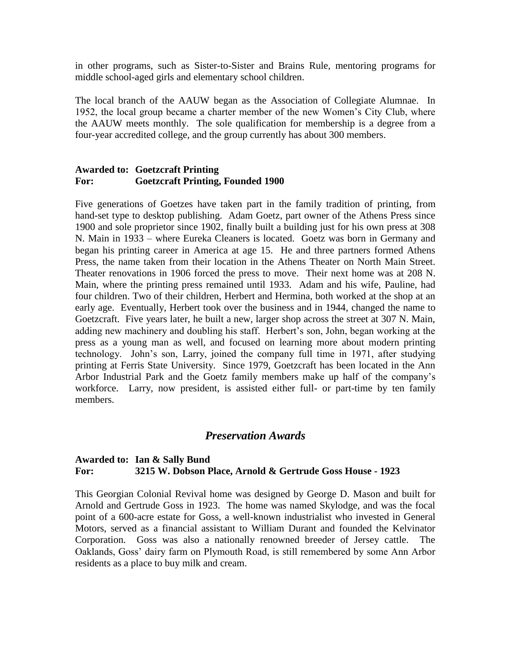in other programs, such as Sister-to-Sister and Brains Rule, mentoring programs for middle school-aged girls and elementary school children.

The local branch of the AAUW began as the Association of Collegiate Alumnae. In 1952, the local group became a charter member of the new Women's City Club, where the AAUW meets monthly. The sole qualification for membership is a degree from a four-year accredited college, and the group currently has about 300 members.

#### **Awarded to: Goetzcraft Printing For: Goetzcraft Printing, Founded 1900**

Five generations of Goetzes have taken part in the family tradition of printing, from hand-set type to desktop publishing. Adam Goetz, part owner of the Athens Press since 1900 and sole proprietor since 1902, finally built a building just for his own press at 308 N. Main in 1933 – where Eureka Cleaners is located. Goetz was born in Germany and began his printing career in America at age 15. He and three partners formed Athens Press, the name taken from their location in the Athens Theater on North Main Street. Theater renovations in 1906 forced the press to move. Their next home was at 208 N. Main, where the printing press remained until 1933. Adam and his wife, Pauline, had four children. Two of their children, Herbert and Hermina, both worked at the shop at an early age. Eventually, Herbert took over the business and in 1944, changed the name to Goetzcraft. Five years later, he built a new, larger shop across the street at 307 N. Main, adding new machinery and doubling his staff. Herbert's son, John, began working at the press as a young man as well, and focused on learning more about modern printing technology. John's son, Larry, joined the company full time in 1971, after studying printing at Ferris State University. Since 1979, Goetzcraft has been located in the Ann Arbor Industrial Park and the Goetz family members make up half of the company's workforce. Larry, now president, is assisted either full- or part-time by ten family members.

## *Preservation Awards*

#### **Awarded to: Ian & Sally Bund For: 3215 W. Dobson Place, Arnold & Gertrude Goss House - 1923**

This Georgian Colonial Revival home was designed by George D. Mason and built for Arnold and Gertrude Goss in 1923. The home was named Skylodge, and was the focal point of a 600-acre estate for Goss, a well-known industrialist who invested in General Motors, served as a financial assistant to William Durant and founded the Kelvinator Corporation. Goss was also a nationally renowned breeder of Jersey cattle. The Oaklands, Goss' dairy farm on Plymouth Road, is still remembered by some Ann Arbor residents as a place to buy milk and cream.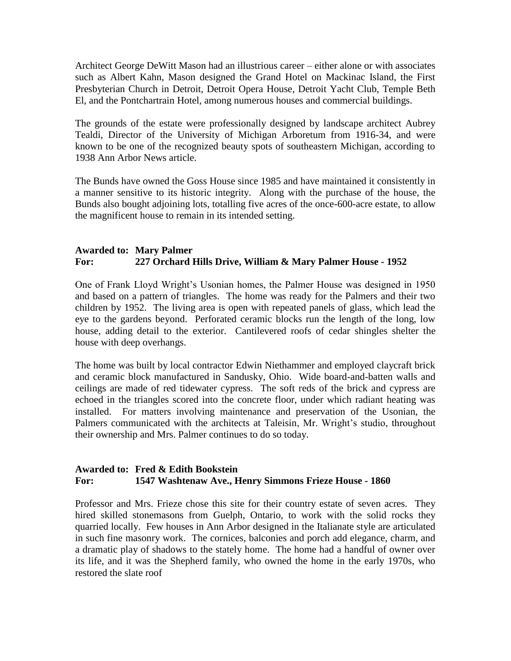Architect George DeWitt Mason had an illustrious career – either alone or with associates such as Albert Kahn, Mason designed the Grand Hotel on Mackinac Island, the First Presbyterian Church in Detroit, Detroit Opera House, Detroit Yacht Club, Temple Beth El, and the Pontchartrain Hotel, among numerous houses and commercial buildings.

The grounds of the estate were professionally designed by landscape architect Aubrey Tealdi, Director of the University of Michigan Arboretum from 1916-34, and were known to be one of the recognized beauty spots of southeastern Michigan, according to 1938 Ann Arbor News article.

The Bunds have owned the Goss House since 1985 and have maintained it consistently in a manner sensitive to its historic integrity. Along with the purchase of the house, the Bunds also bought adjoining lots, totalling five acres of the once-600-acre estate, to allow the magnificent house to remain in its intended setting.

#### **Awarded to: Mary Palmer For: 227 Orchard Hills Drive, William & Mary Palmer House - 1952**

One of Frank Lloyd Wright's Usonian homes, the Palmer House was designed in 1950 and based on a pattern of triangles. The home was ready for the Palmers and their two children by 1952. The living area is open with repeated panels of glass, which lead the eye to the gardens beyond. Perforated ceramic blocks run the length of the long, low house, adding detail to the exterior. Cantilevered roofs of cedar shingles shelter the house with deep overhangs.

The home was built by local contractor Edwin Niethammer and employed claycraft brick and ceramic block manufactured in Sandusky, Ohio. Wide board-and-batten walls and ceilings are made of red tidewater cypress. The soft reds of the brick and cypress are echoed in the triangles scored into the concrete floor, under which radiant heating was installed. For matters involving maintenance and preservation of the Usonian, the Palmers communicated with the architects at Taleisin, Mr. Wright's studio, throughout their ownership and Mrs. Palmer continues to do so today.

#### **Awarded to: Fred & Edith Bookstein For: 1547 Washtenaw Ave., Henry Simmons Frieze House - 1860**

Professor and Mrs. Frieze chose this site for their country estate of seven acres. They hired skilled stonemasons from Guelph, Ontario, to work with the solid rocks they quarried locally. Few houses in Ann Arbor designed in the Italianate style are articulated in such fine masonry work. The cornices, balconies and porch add elegance, charm, and a dramatic play of shadows to the stately home. The home had a handful of owner over its life, and it was the Shepherd family, who owned the home in the early 1970s, who restored the slate roof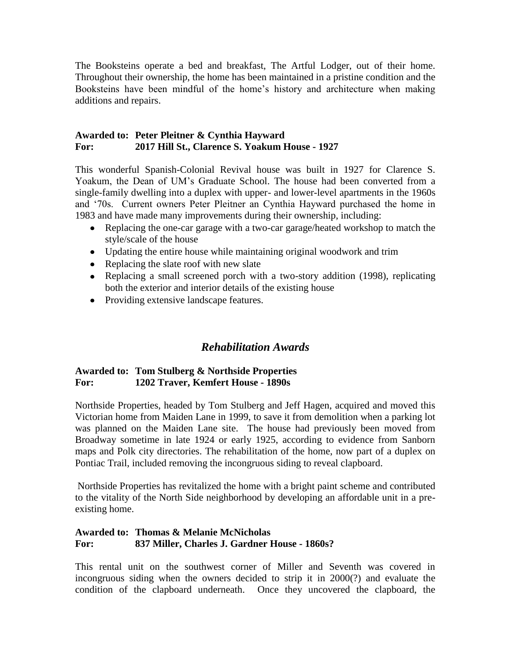The Booksteins operate a bed and breakfast, The Artful Lodger, out of their home. Throughout their ownership, the home has been maintained in a pristine condition and the Booksteins have been mindful of the home's history and architecture when making additions and repairs.

#### **Awarded to: Peter Pleitner & Cynthia Hayward For: 2017 Hill St., Clarence S. Yoakum House - 1927**

This wonderful Spanish-Colonial Revival house was built in 1927 for Clarence S. Yoakum, the Dean of UM's Graduate School. The house had been converted from a single-family dwelling into a duplex with upper- and lower-level apartments in the 1960s and '70s. Current owners Peter Pleitner an Cynthia Hayward purchased the home in 1983 and have made many improvements during their ownership, including:

- Replacing the one-car garage with a two-car garage/heated workshop to match the style/scale of the house
- Updating the entire house while maintaining original woodwork and trim
- Replacing the slate roof with new slate
- Replacing a small screened porch with a two-story addition (1998), replicating both the exterior and interior details of the existing house
- Providing extensive landscape features.

## *Rehabilitation Awards*

#### **Awarded to: Tom Stulberg & Northside Properties For: 1202 Traver, Kemfert House - 1890s**

Northside Properties, headed by Tom Stulberg and Jeff Hagen, acquired and moved this Victorian home from Maiden Lane in 1999, to save it from demolition when a parking lot was planned on the Maiden Lane site. The house had previously been moved from Broadway sometime in late 1924 or early 1925, according to evidence from Sanborn maps and Polk city directories. The rehabilitation of the home, now part of a duplex on Pontiac Trail, included removing the incongruous siding to reveal clapboard.

Northside Properties has revitalized the home with a bright paint scheme and contributed to the vitality of the North Side neighborhood by developing an affordable unit in a preexisting home.

#### **Awarded to: Thomas & Melanie McNicholas For: 837 Miller, Charles J. Gardner House - 1860s?**

This rental unit on the southwest corner of Miller and Seventh was covered in incongruous siding when the owners decided to strip it in 2000(?) and evaluate the condition of the clapboard underneath. Once they uncovered the clapboard, the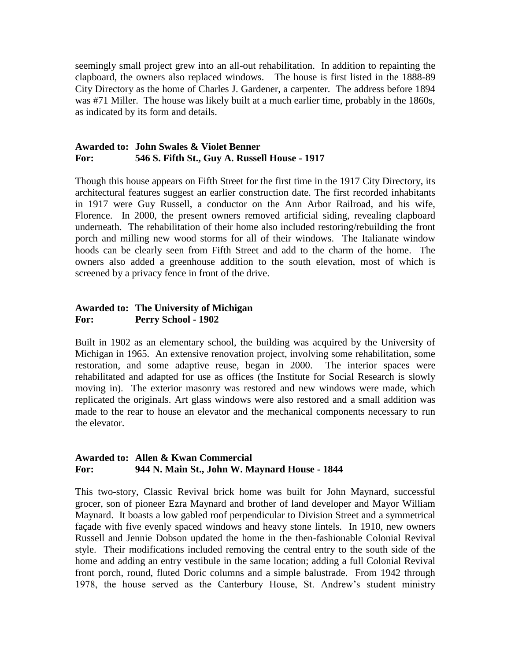seemingly small project grew into an all-out rehabilitation. In addition to repainting the clapboard, the owners also replaced windows. The house is first listed in the 1888-89 City Directory as the home of Charles J. Gardener, a carpenter. The address before 1894 was #71 Miller. The house was likely built at a much earlier time, probably in the 1860s, as indicated by its form and details.

#### **Awarded to: John Swales & Violet Benner For: 546 S. Fifth St., Guy A. Russell House - 1917**

Though this house appears on Fifth Street for the first time in the 1917 City Directory, its architectural features suggest an earlier construction date. The first recorded inhabitants in 1917 were Guy Russell, a conductor on the Ann Arbor Railroad, and his wife, Florence. In 2000, the present owners removed artificial siding, revealing clapboard underneath. The rehabilitation of their home also included restoring/rebuilding the front porch and milling new wood storms for all of their windows. The Italianate window hoods can be clearly seen from Fifth Street and add to the charm of the home. The owners also added a greenhouse addition to the south elevation, most of which is screened by a privacy fence in front of the drive.

#### **Awarded to: The University of Michigan For: Perry School - 1902**

Built in 1902 as an elementary school, the building was acquired by the University of Michigan in 1965. An extensive renovation project, involving some rehabilitation, some restoration, and some adaptive reuse, began in 2000. The interior spaces were rehabilitated and adapted for use as offices (the Institute for Social Research is slowly moving in). The exterior masonry was restored and new windows were made, which replicated the originals. Art glass windows were also restored and a small addition was made to the rear to house an elevator and the mechanical components necessary to run the elevator.

#### **Awarded to: Allen & Kwan Commercial For: 944 N. Main St., John W. Maynard House - 1844**

This two-story, Classic Revival brick home was built for John Maynard, successful grocer, son of pioneer Ezra Maynard and brother of land developer and Mayor William Maynard. It boasts a low gabled roof perpendicular to Division Street and a symmetrical façade with five evenly spaced windows and heavy stone lintels. In 1910, new owners Russell and Jennie Dobson updated the home in the then-fashionable Colonial Revival style. Their modifications included removing the central entry to the south side of the home and adding an entry vestibule in the same location; adding a full Colonial Revival front porch, round, fluted Doric columns and a simple balustrade. From 1942 through 1978, the house served as the Canterbury House, St. Andrew's student ministry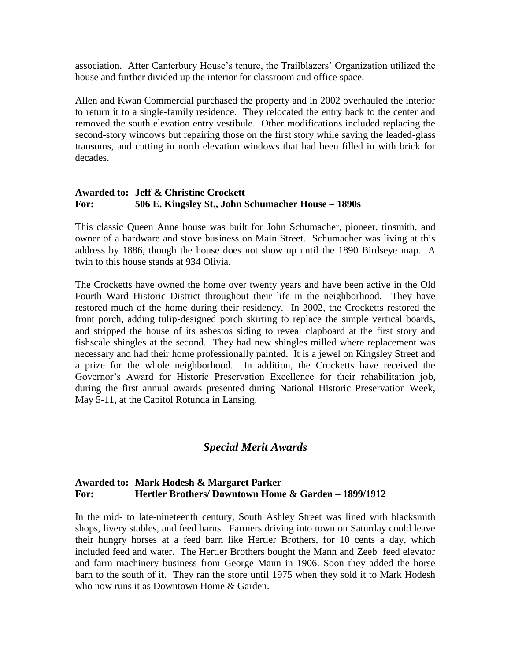association. After Canterbury House's tenure, the Trailblazers' Organization utilized the house and further divided up the interior for classroom and office space.

Allen and Kwan Commercial purchased the property and in 2002 overhauled the interior to return it to a single-family residence. They relocated the entry back to the center and removed the south elevation entry vestibule. Other modifications included replacing the second-story windows but repairing those on the first story while saving the leaded-glass transoms, and cutting in north elevation windows that had been filled in with brick for decades.

#### **Awarded to: Jeff & Christine Crockett For: 506 E. Kingsley St., John Schumacher House – 1890s**

This classic Queen Anne house was built for John Schumacher, pioneer, tinsmith, and owner of a hardware and stove business on Main Street. Schumacher was living at this address by 1886, though the house does not show up until the 1890 Birdseye map. A twin to this house stands at 934 Olivia.

The Crocketts have owned the home over twenty years and have been active in the Old Fourth Ward Historic District throughout their life in the neighborhood. They have restored much of the home during their residency. In 2002, the Crocketts restored the front porch, adding tulip-designed porch skirting to replace the simple vertical boards, and stripped the house of its asbestos siding to reveal clapboard at the first story and fishscale shingles at the second. They had new shingles milled where replacement was necessary and had their home professionally painted. It is a jewel on Kingsley Street and a prize for the whole neighborhood. In addition, the Crocketts have received the Governor's Award for Historic Preservation Excellence for their rehabilitation job, during the first annual awards presented during National Historic Preservation Week, May 5-11, at the Capitol Rotunda in Lansing.

## *Special Merit Awards*

#### **Awarded to: Mark Hodesh & Margaret Parker For: Hertler Brothers/ Downtown Home & Garden – 1899/1912**

In the mid- to late-nineteenth century, South Ashley Street was lined with blacksmith shops, livery stables, and feed barns. Farmers driving into town on Saturday could leave their hungry horses at a feed barn like Hertler Brothers, for 10 cents a day, which included feed and water. The Hertler Brothers bought the Mann and Zeeb feed elevator and farm machinery business from George Mann in 1906. Soon they added the horse barn to the south of it. They ran the store until 1975 when they sold it to Mark Hodesh who now runs it as Downtown Home & Garden.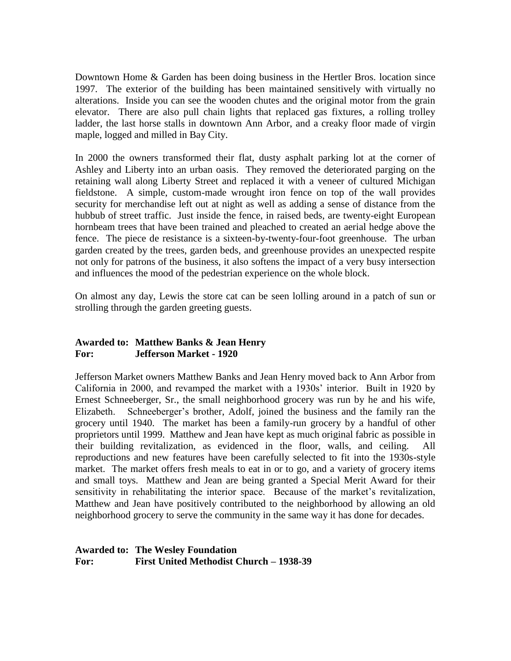Downtown Home & Garden has been doing business in the Hertler Bros. location since 1997. The exterior of the building has been maintained sensitively with virtually no alterations. Inside you can see the wooden chutes and the original motor from the grain elevator. There are also pull chain lights that replaced gas fixtures, a rolling trolley ladder, the last horse stalls in downtown Ann Arbor, and a creaky floor made of virgin maple, logged and milled in Bay City.

In 2000 the owners transformed their flat, dusty asphalt parking lot at the corner of Ashley and Liberty into an urban oasis. They removed the deteriorated parging on the retaining wall along Liberty Street and replaced it with a veneer of cultured Michigan fieldstone. A simple, custom-made wrought iron fence on top of the wall provides security for merchandise left out at night as well as adding a sense of distance from the hubbub of street traffic. Just inside the fence, in raised beds, are twenty-eight European hornbeam trees that have been trained and pleached to created an aerial hedge above the fence. The piece de resistance is a sixteen-by-twenty-four-foot greenhouse. The urban garden created by the trees, garden beds, and greenhouse provides an unexpected respite not only for patrons of the business, it also softens the impact of a very busy intersection and influences the mood of the pedestrian experience on the whole block.

On almost any day, Lewis the store cat can be seen lolling around in a patch of sun or strolling through the garden greeting guests.

#### **Awarded to: Matthew Banks & Jean Henry For: Jefferson Market - 1920**

Jefferson Market owners Matthew Banks and Jean Henry moved back to Ann Arbor from California in 2000, and revamped the market with a 1930s' interior. Built in 1920 by Ernest Schneeberger, Sr., the small neighborhood grocery was run by he and his wife, Elizabeth. Schneeberger's brother, Adolf, joined the business and the family ran the grocery until 1940. The market has been a family-run grocery by a handful of other proprietors until 1999. Matthew and Jean have kept as much original fabric as possible in their building revitalization, as evidenced in the floor, walls, and ceiling. All reproductions and new features have been carefully selected to fit into the 1930s-style market. The market offers fresh meals to eat in or to go, and a variety of grocery items and small toys. Matthew and Jean are being granted a Special Merit Award for their sensitivity in rehabilitating the interior space. Because of the market's revitalization, Matthew and Jean have positively contributed to the neighborhood by allowing an old neighborhood grocery to serve the community in the same way it has done for decades.

**Awarded to: The Wesley Foundation For: First United Methodist Church – 1938-39**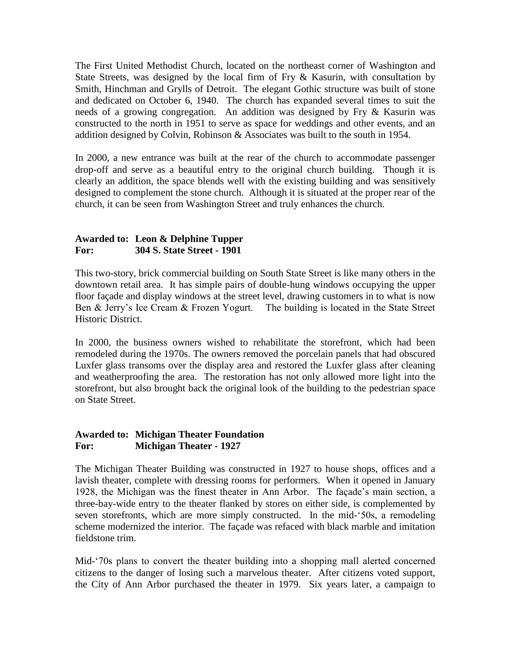The First United Methodist Church, located on the northeast corner of Washington and State Streets, was designed by the local firm of Fry & Kasurin, with consultation by Smith, Hinchman and Grylls of Detroit. The elegant Gothic structure was built of stone and dedicated on October 6, 1940. The church has expanded several times to suit the needs of a growing congregation. An addition was designed by Fry & Kasurin was constructed to the north in 1951 to serve as space for weddings and other events, and an addition designed by Colvin, Robinson & Associates was built to the south in 1954.

In 2000, a new entrance was built at the rear of the church to accommodate passenger drop-off and serve as a beautiful entry to the original church building. Though it is clearly an addition, the space blends well with the existing building and was sensitively designed to complement the stone church. Although it is situated at the proper rear of the church, it can be seen from Washington Street and truly enhances the church.

#### **Awarded to: Leon & Delphine Tupper For: 304 S. State Street - 1901**

This two-story, brick commercial building on South State Street is like many others in the downtown retail area. It has simple pairs of double-hung windows occupying the upper floor façade and display windows at the street level, drawing customers in to what is now Ben & Jerry's Ice Cream & Frozen Yogurt. The building is located in the State Street Historic District.

In 2000, the business owners wished to rehabilitate the storefront, which had been remodeled during the 1970s. The owners removed the porcelain panels that had obscured Luxfer glass transoms over the display area and restored the Luxfer glass after cleaning and weatherproofing the area. The restoration has not only allowed more light into the storefront, but also brought back the original look of the building to the pedestrian space on State Street.

#### **Awarded to: Michigan Theater Foundation For: Michigan Theater - 1927**

The Michigan Theater Building was constructed in 1927 to house shops, offices and a lavish theater, complete with dressing rooms for performers. When it opened in January 1928, the Michigan was the finest theater in Ann Arbor. The façade's main section, a three-bay-wide entry to the theater flanked by stores on either side, is complemented by seven storefronts, which are more simply constructed. In the mid-'50s, a remodeling scheme modernized the interior. The façade was refaced with black marble and imitation fieldstone trim.

Mid-'70s plans to convert the theater building into a shopping mall alerted concerned citizens to the danger of losing such a marvelous theater. After citizens voted support, the City of Ann Arbor purchased the theater in 1979. Six years later, a campaign to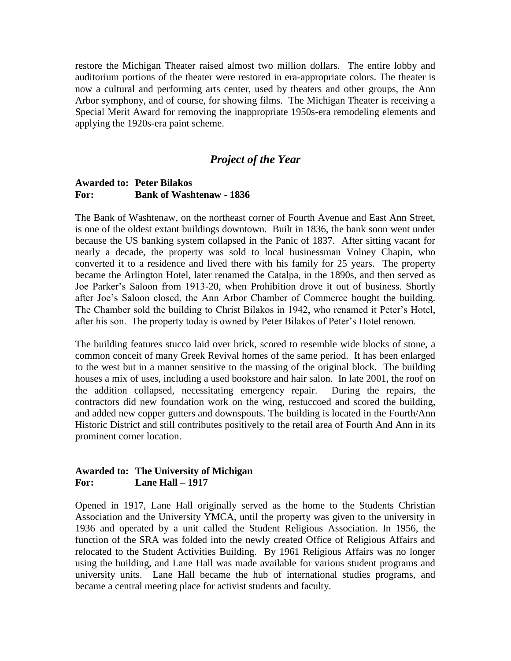restore the Michigan Theater raised almost two million dollars. The entire lobby and auditorium portions of the theater were restored in era-appropriate colors. The theater is now a cultural and performing arts center, used by theaters and other groups, the Ann Arbor symphony, and of course, for showing films. The Michigan Theater is receiving a Special Merit Award for removing the inappropriate 1950s-era remodeling elements and applying the 1920s-era paint scheme.

## *Project of the Year*

#### **Awarded to: Peter Bilakos For: Bank of Washtenaw - 1836**

The Bank of Washtenaw, on the northeast corner of Fourth Avenue and East Ann Street, is one of the oldest extant buildings downtown. Built in 1836, the bank soon went under because the US banking system collapsed in the Panic of 1837. After sitting vacant for nearly a decade, the property was sold to local businessman Volney Chapin, who converted it to a residence and lived there with his family for 25 years. The property became the Arlington Hotel, later renamed the Catalpa, in the 1890s, and then served as Joe Parker's Saloon from 1913-20, when Prohibition drove it out of business. Shortly after Joe's Saloon closed, the Ann Arbor Chamber of Commerce bought the building. The Chamber sold the building to Christ Bilakos in 1942, who renamed it Peter's Hotel, after his son. The property today is owned by Peter Bilakos of Peter's Hotel renown.

The building features stucco laid over brick, scored to resemble wide blocks of stone, a common conceit of many Greek Revival homes of the same period. It has been enlarged to the west but in a manner sensitive to the massing of the original block. The building houses a mix of uses, including a used bookstore and hair salon. In late 2001, the roof on the addition collapsed, necessitating emergency repair. During the repairs, the contractors did new foundation work on the wing, restuccoed and scored the building, and added new copper gutters and downspouts. The building is located in the Fourth/Ann Historic District and still contributes positively to the retail area of Fourth And Ann in its prominent corner location.

#### **Awarded to: The University of Michigan For: Lane Hall – 1917**

Opened in 1917, Lane Hall originally served as the home to the Students Christian Association and the University YMCA, until the property was given to the university in 1936 and operated by a unit called the Student Religious Association. In 1956, the function of the SRA was folded into the newly created Office of Religious Affairs and relocated to the Student Activities Building. By 1961 Religious Affairs was no longer using the building, and Lane Hall was made available for various student programs and university units. Lane Hall became the hub of international studies programs, and became a central meeting place for activist students and faculty.